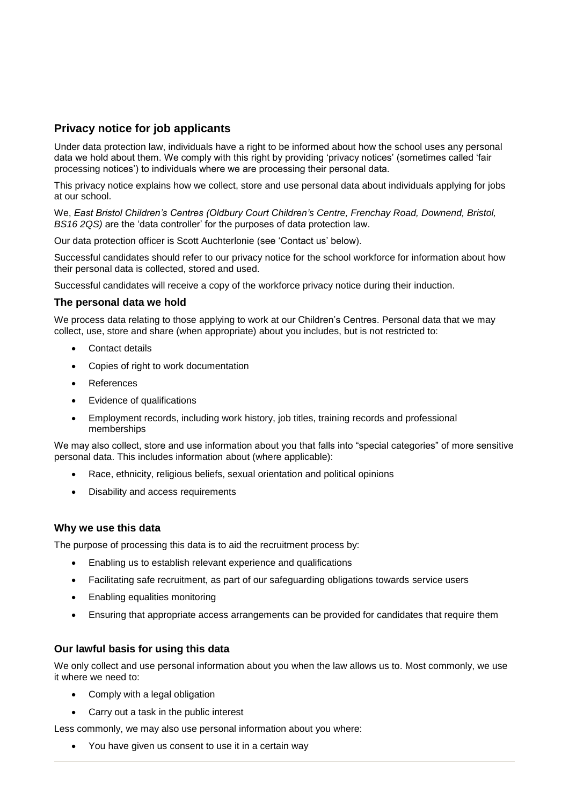# **Privacy notice for job applicants**

Under data protection law, individuals have a right to be informed about how the school uses any personal data we hold about them. We comply with this right by providing 'privacy notices' (sometimes called 'fair processing notices') to individuals where we are processing their personal data.

This privacy notice explains how we collect, store and use personal data about individuals applying for jobs at our school.

We, *East Bristol Children's Centres (Oldbury Court Children's Centre, Frenchay Road, Downend, Bristol, BS16 2QS)* are the 'data controller' for the purposes of data protection law.

Our data protection officer is Scott Auchterlonie (see 'Contact us' below).

Successful candidates should refer to our privacy notice for the school workforce for information about how their personal data is collected, stored and used.

Successful candidates will receive a copy of the workforce privacy notice during their induction.

### **The personal data we hold**

We process data relating to those applying to work at our Children's Centres. Personal data that we may collect, use, store and share (when appropriate) about you includes, but is not restricted to:

- Contact details
- Copies of right to work documentation
- References
- Evidence of qualifications
- Employment records, including work history, job titles, training records and professional memberships

We may also collect, store and use information about you that falls into "special categories" of more sensitive personal data. This includes information about (where applicable):

- Race, ethnicity, religious beliefs, sexual orientation and political opinions
- Disability and access requirements

### **Why we use this data**

The purpose of processing this data is to aid the recruitment process by:

- Enabling us to establish relevant experience and qualifications
- Facilitating safe recruitment, as part of our safeguarding obligations towards service users
- Enabling equalities monitoring
- Ensuring that appropriate access arrangements can be provided for candidates that require them

## **Our lawful basis for using this data**

We only collect and use personal information about you when the law allows us to. Most commonly, we use it where we need to:

- Comply with a legal obligation
- Carry out a task in the public interest

Less commonly, we may also use personal information about you where:

You have given us consent to use it in a certain way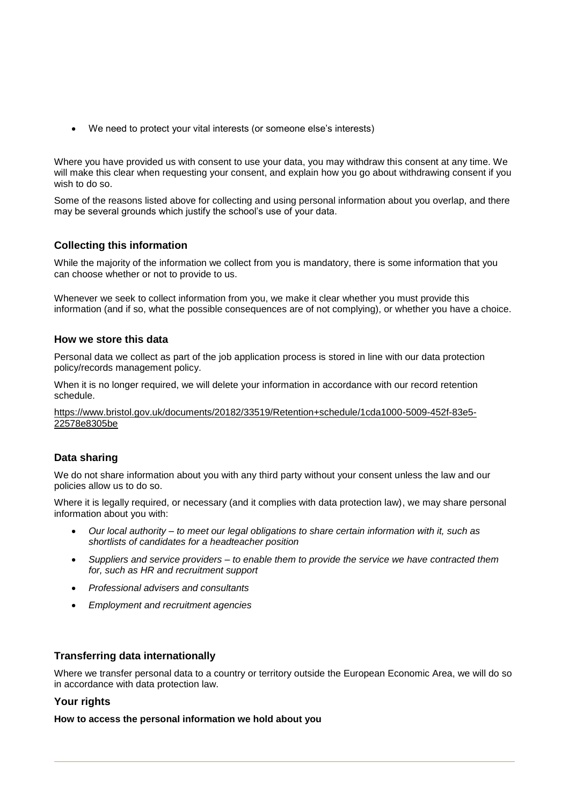We need to protect your vital interests (or someone else's interests)

Where you have provided us with consent to use your data, you may withdraw this consent at any time. We will make this clear when requesting your consent, and explain how you go about withdrawing consent if you wish to do so.

Some of the reasons listed above for collecting and using personal information about you overlap, and there may be several grounds which justify the school's use of your data.

## **Collecting this information**

While the majority of the information we collect from you is mandatory, there is some information that you can choose whether or not to provide to us.

Whenever we seek to collect information from you, we make it clear whether you must provide this information (and if so, what the possible consequences are of not complying), or whether you have a choice.

## **How we store this data**

Personal data we collect as part of the job application process is stored in line with our data protection policy/records management policy.

When it is no longer required, we will delete your information in accordance with our record retention schedule.

[https://www.bristol.gov.uk/documents/20182/33519/Retention+schedule/1cda1000-5009-452f-83e5-](https://www.bristol.gov.uk/documents/20182/33519/Retention+schedule/1cda1000-5009-452f-83e5-22578e8305be) [22578e8305be](https://www.bristol.gov.uk/documents/20182/33519/Retention+schedule/1cda1000-5009-452f-83e5-22578e8305be)

### **Data sharing**

We do not share information about you with any third party without your consent unless the law and our policies allow us to do so.

Where it is legally required, or necessary (and it complies with data protection law), we may share personal information about you with:

- *Our local authority – to meet our legal obligations to share certain information with it, such as shortlists of candidates for a headteacher position*
- *Suppliers and service providers – to enable them to provide the service we have contracted them for, such as HR and recruitment support*
- *Professional advisers and consultants*
- *Employment and recruitment agencies*

### **Transferring data internationally**

Where we transfer personal data to a country or territory outside the European Economic Area, we will do so in accordance with data protection law.

### **Your rights**

**How to access the personal information we hold about you**